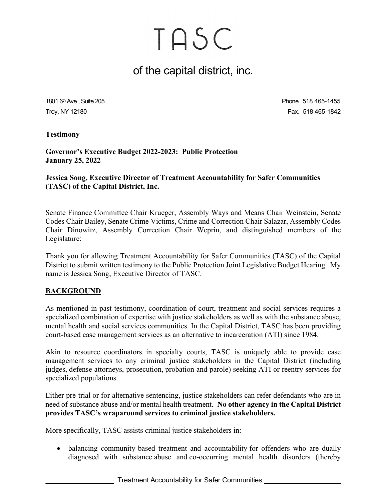### of the capital district, inc.

1801 6<sup>th</sup> Ave., Suite 205 **Phone. 518 465-1455** Troy, NY 12180 Fax. 518 465-1842

Testimony

Governor's Executive Budget 2022-2023: Public Protection January 25, 2022

Jessica Song, Executive Director of Treatment Accountability for Safer Communities (TASC) of the Capital District, Inc.

Senate Finance Committee Chair Krueger, Assembly Ways and Means Chair Weinstein, Senate Codes Chair Bailey, Senate Crime Victims, Crime and Correction Chair Salazar, Assembly Codes Chair Dinowitz, Assembly Correction Chair Weprin, and distinguished members of the Legislature:

Thank you for allowing Treatment Accountability for Safer Communities (TASC) of the Capital District to submit written testimony to the Public Protection Joint Legislative Budget Hearing. My name is Jessica Song, Executive Director of TASC.

#### **BACKGROUND**

As mentioned in past testimony, coordination of court, treatment and social services requires a specialized combination of expertise with justice stakeholders as well as with the substance abuse, mental health and social services communities. In the Capital District, TASC has been providing court-based case management services as an alternative to incarceration (ATI) since 1984.

Akin to resource coordinators in specialty courts, TASC is uniquely able to provide case management services to any criminal justice stakeholders in the Capital District (including judges, defense attorneys, prosecution, probation and parole) seeking ATI or reentry services for specialized populations.

Either pre-trial or for alternative sentencing, justice stakeholders can refer defendants who are in need of substance abuse and/or mental health treatment. No other agency in the Capital District provides TASC's wraparound services to criminal justice stakeholders.

More specifically, TASC assists criminal justice stakeholders in:

• balancing community-based treatment and accountability for offenders who are dually diagnosed with substance abuse and co-occurring mental health disorders (thereby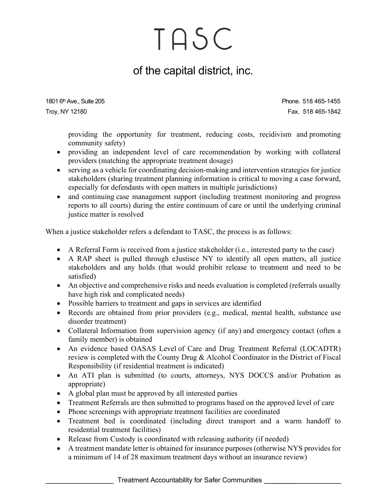## of the capital district, inc.

1801 6<sup>th</sup> Ave., Suite 205 **Phone. 518 465-1455** Troy, NY 12180 Fax. 518 465-1842

providing the opportunity for treatment, reducing costs, recidivism and promoting community safety)

- providing an independent level of care recommendation by working with collateral providers (matching the appropriate treatment dosage)
- serving as a vehicle for coordinating decision-making and intervention strategies for justice stakeholders (sharing treatment planning information is critical to moving a case forward, especially for defendants with open matters in multiple jurisdictions)
- and continuing case management support (including treatment monitoring and progress reports to all courts) during the entire continuum of care or until the underlying criminal justice matter is resolved

When a justice stakeholder refers a defendant to TASC, the process is as follows:

- A Referral Form is received from a justice stakeholder (i.e., interested party to the case)
- A RAP sheet is pulled through eJustisce NY to identify all open matters, all justice stakeholders and any holds (that would prohibit release to treatment and need to be satisfied)
- An objective and comprehensive risks and needs evaluation is completed (referrals usually have high risk and complicated needs)
- Possible barriers to treatment and gaps in services are identified
- Records are obtained from prior providers (e.g., medical, mental health, substance use disorder treatment)
- Collateral Information from supervision agency (if any) and emergency contact (often a family member) is obtained
- An evidence based OASAS Level of Care and Drug Treatment Referral (LOCADTR) review is completed with the County Drug & Alcohol Coordinator in the District of Fiscal Responsibility (if residential treatment is indicated)
- An ATI plan is submitted (to courts, attorneys, NYS DOCCS and/or Probation as appropriate)
- A global plan must be approved by all interested parties
- Treatment Referrals are then submitted to programs based on the approved level of care
- Phone screenings with appropriate treatment facilities are coordinated
- Treatment bed is coordinated (including direct transport and a warm handoff to residential treatment facilities)
- Release from Custody is coordinated with releasing authority (if needed)
- A treatment mandate letter is obtained for insurance purposes (otherwise NYS provides for a minimum of 14 of 28 maximum treatment days without an insurance review)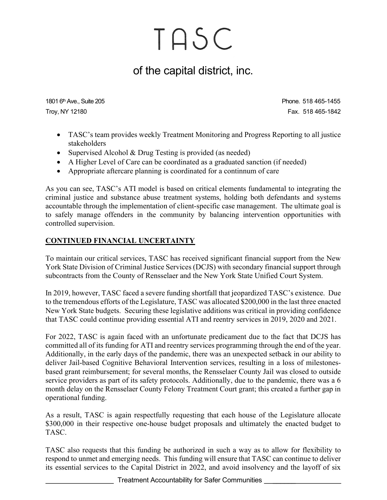## of the capital district, inc.

1801 6<sup>th</sup> Ave., Suite 205 **Phone. 518 465-1455** Troy, NY 12180 Fax. 518 465-1842

- TASC's team provides weekly Treatment Monitoring and Progress Reporting to all justice stakeholders
- Supervised Alcohol & Drug Testing is provided (as needed)
- A Higher Level of Care can be coordinated as a graduated sanction (if needed)
- Appropriate aftercare planning is coordinated for a continnum of care

As you can see, TASC's ATI model is based on critical elements fundamental to integrating the criminal justice and substance abuse treatment systems, holding both defendants and systems accountable through the implementation of client-specific case management. The ultimate goal is to safely manage offenders in the community by balancing intervention opportunities with controlled supervision.

#### CONTINUED FINANCIAL UNCERTAINTY

To maintain our critical services, TASC has received significant financial support from the New York State Division of Criminal Justice Services (DCJS) with secondary financial support through subcontracts from the County of Rensselaer and the New York State Unified Court System.

In 2019, however, TASC faced a severe funding shortfall that jeopardized TASC's existence. Due to the tremendous efforts of the Legislature, TASC was allocated \$200,000 in the last three enacted New York State budgets. Securing these legislative additions was critical in providing confidence that TASC could continue providing essential ATI and reentry services in 2019, 2020 and 2021.

For 2022, TASC is again faced with an unfortunate predicament due to the fact that DCJS has committed all of its funding for ATI and reentry services programming through the end of the year. Additionally, in the early days of the pandemic, there was an unexpected setback in our ability to deliver Jail-based Cognitive Behavioral Intervention services, resulting in a loss of milestonesbased grant reimbursement; for several months, the Rensselaer County Jail was closed to outside service providers as part of its safety protocols. Additionally, due to the pandemic, there was a 6 month delay on the Rensselaer County Felony Treatment Court grant; this created a further gap in operational funding.

As a result, TASC is again respectfully requesting that each house of the Legislature allocate \$300,000 in their respective one-house budget proposals and ultimately the enacted budget to TASC.

TASC also requests that this funding be authorized in such a way as to allow for flexibility to respond to unmet and emerging needs. This funding will ensure that TASC can continue to deliver its essential services to the Capital District in 2022, and avoid insolvency and the layoff of six

Treatment Accountability for Safer Communities \_\_\_\_\_\_